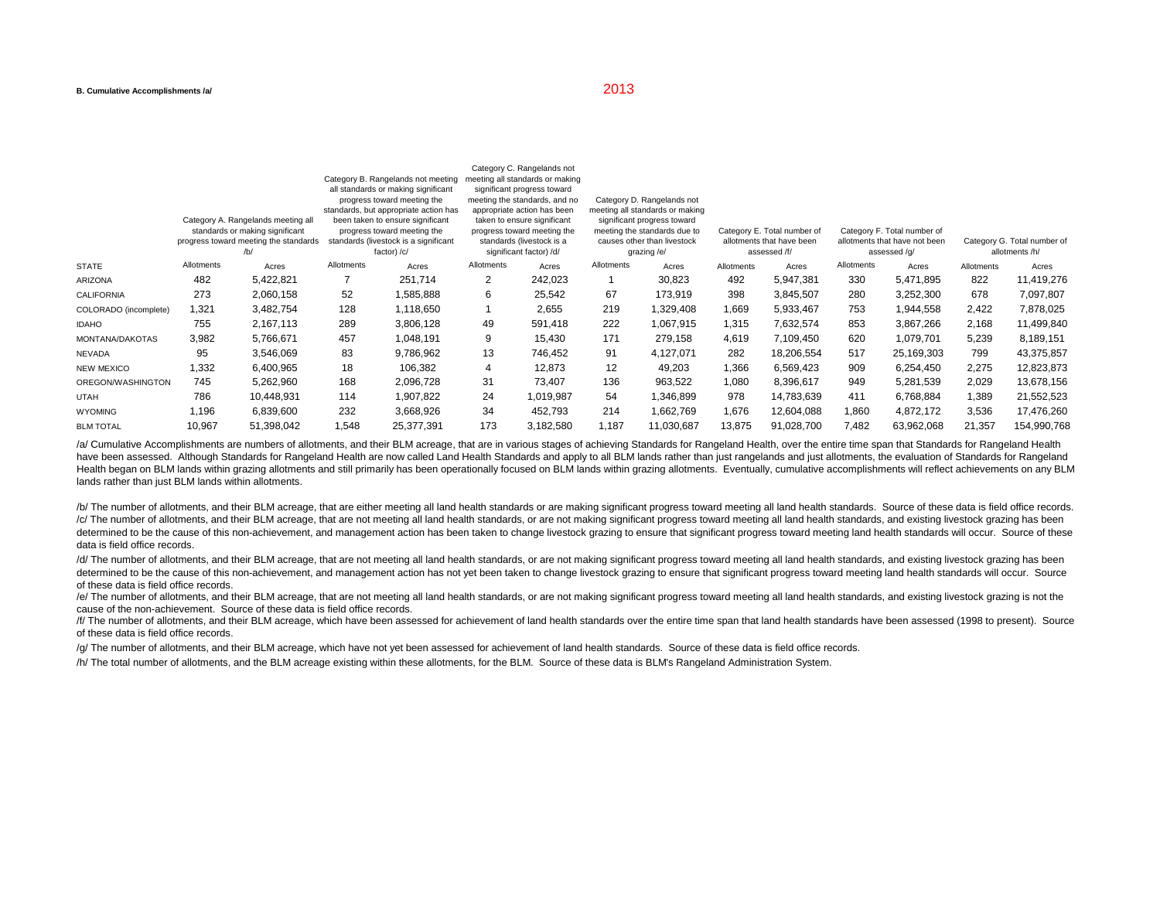|                                                                              |            |                                                                                                                         | appropriate action has been<br>taken to ensure significant<br>progress toward meeting the<br>standards (livestock is a<br>significant factor) /d/ |                                                                                                                                                   | meeting all standards or making<br>significant progress toward<br>meeting the standards due to<br>causes other than livestock<br>grazing /e/ |                                                                                                                               |                                                                          |                            |                                                                              |       |                                               |        |             |
|------------------------------------------------------------------------------|------------|-------------------------------------------------------------------------------------------------------------------------|---------------------------------------------------------------------------------------------------------------------------------------------------|---------------------------------------------------------------------------------------------------------------------------------------------------|----------------------------------------------------------------------------------------------------------------------------------------------|-------------------------------------------------------------------------------------------------------------------------------|--------------------------------------------------------------------------|----------------------------|------------------------------------------------------------------------------|-------|-----------------------------------------------|--------|-------------|
| Category A. Rangelands meeting all<br>standards or making significant<br>/b/ |            | been taken to ensure significant<br>progress toward meeting the<br>standards (livestock is a significant<br>factor) /c/ |                                                                                                                                                   |                                                                                                                                                   |                                                                                                                                              |                                                                                                                               |                                                                          |                            |                                                                              |       |                                               |        |             |
|                                                                              |            |                                                                                                                         |                                                                                                                                                   |                                                                                                                                                   |                                                                                                                                              |                                                                                                                               | Category E. Total number of<br>allotments that have been<br>assessed /f/ |                            | Category F. Total number of<br>allotments that have not been<br>assessed /g/ |       |                                               |        |             |
|                                                                              |            |                                                                                                                         |                                                                                                                                                   |                                                                                                                                                   |                                                                                                                                              |                                                                                                                               |                                                                          |                            |                                                                              |       | Category G. Total number of<br>allotments /h/ |        |             |
|                                                                              |            |                                                                                                                         |                                                                                                                                                   |                                                                                                                                                   |                                                                                                                                              |                                                                                                                               |                                                                          |                            |                                                                              |       |                                               |        | Allotments  |
| 482                                                                          | 5,422,821  |                                                                                                                         | 251,714                                                                                                                                           | 2                                                                                                                                                 | 242,023                                                                                                                                      |                                                                                                                               | 30,823                                                                   | 492                        | 5,947,381                                                                    | 330   | 5,471,895                                     | 822    | 11,419,276  |
| 273                                                                          | 2,060,158  | 52                                                                                                                      | 1,585,888                                                                                                                                         | 6                                                                                                                                                 | 25,542                                                                                                                                       | 67                                                                                                                            | 173,919                                                                  | 398                        | 3,845,507                                                                    | 280   | 3,252,300                                     | 678    | 7,097,807   |
| 1,321                                                                        | 3,482,754  | 128                                                                                                                     | 1,118,650                                                                                                                                         |                                                                                                                                                   | 2,655                                                                                                                                        | 219                                                                                                                           | 1,329,408                                                                | 1,669                      | 5,933,467                                                                    | 753   | 1,944,558                                     | 2,422  | 7,878,025   |
| 755                                                                          | 2,167,113  | 289                                                                                                                     | 3,806,128                                                                                                                                         | 49                                                                                                                                                | 591,418                                                                                                                                      | 222                                                                                                                           | 1,067,915                                                                | 1,315                      | 7,632,574                                                                    | 853   | 3,867,266                                     | 2,168  | 11,499,840  |
| 3,982                                                                        | 5,766,671  | 457                                                                                                                     | 1,048,191                                                                                                                                         | 9                                                                                                                                                 | 15.430                                                                                                                                       | 171                                                                                                                           | 279,158                                                                  | 4,619                      | 7,109,450                                                                    | 620   | 1,079,701                                     | 5,239  | 8,189,151   |
| 95                                                                           | 3,546,069  | 83                                                                                                                      | 9,786,962                                                                                                                                         | 13                                                                                                                                                | 746.452                                                                                                                                      | 91                                                                                                                            | 4,127,071                                                                | 282                        | 18,206,554                                                                   | 517   | 25,169,303                                    | 799    | 43,375,857  |
| 1,332                                                                        | 6,400,965  | 18                                                                                                                      | 106,382                                                                                                                                           | 4                                                                                                                                                 | 12,873                                                                                                                                       | 12                                                                                                                            | 49,203                                                                   | 1,366                      | 6,569,423                                                                    | 909   | 6,254,450                                     | 2,275  | 12,823,873  |
| 745                                                                          | 5,262,960  | 168                                                                                                                     | 2,096,728                                                                                                                                         | 31                                                                                                                                                | 73.407                                                                                                                                       | 136                                                                                                                           | 963,522                                                                  | 1,080                      | 8,396,617                                                                    | 949   | 5,281,539                                     | 2,029  | 13,678,156  |
| 786                                                                          | 10,448,931 | 114                                                                                                                     | 1,907,822                                                                                                                                         | 24                                                                                                                                                | 1,019,987                                                                                                                                    | 54                                                                                                                            | 1,346,899                                                                | 978                        | 14,783,639                                                                   | 411   | 6,768,884                                     | 1,389  | 21,552,523  |
| 1,196                                                                        | 6,839,600  | 232                                                                                                                     | 3,668,926                                                                                                                                         | 34                                                                                                                                                | 452,793                                                                                                                                      | 214                                                                                                                           | 1,662,769                                                                | 1,676                      | 12,604,088                                                                   | 1,860 | 4,872,172                                     | 3,536  | 17,476,260  |
| 10,967                                                                       | 51,398,042 | 1,548                                                                                                                   | 25,377,391                                                                                                                                        | 173                                                                                                                                               | 3,182,580                                                                                                                                    | 1,187                                                                                                                         | 11,030,687                                                               | 13,875                     | 91,028,700                                                                   | 7,482 | 63,962,068                                    | 21,357 | 154,990,768 |
|                                                                              |            |                                                                                                                         | progress toward meeting the standards                                                                                                             | Category B. Rangelands not meeting<br>all standards or making significant<br>progress toward meeting the<br>standards, but appropriate action has |                                                                                                                                              | Category C. Rangelands not<br>meeting all standards or making<br>significant progress toward<br>meeting the standards, and no |                                                                          | Category D. Rangelands not |                                                                              |       |                                               |        |             |

/a/ Cumulative Accomplishments are numbers of allotments, and their BLM acreage, that are in various stages of achieving Standards for Rangeland Health, over the entire time span that Standards for Rangeland Health have been assessed. Although Standards for Rangeland Health are now called Land Health Standards and apply to all BLM lands rather than just rangelands and just allotments, the evaluation of Standards for Rangeland Health began on BLM lands within grazing allotments and still primarily has been operationally focused on BLM lands within grazing allotments. Eventually, cumulative accomplishments will reflect achievements on any BLM lands rather than just BLM lands within allotments.

/b/ The number of allotments, and their BLM acreage, that are either meeting all land health standards or are making significant progress toward meeting all land health standards. Source of these data is field office recor /c/ The number of allotments, and their BLM acreage, that are not meeting all land health standards, or are not making significant progress toward meeting all land health standards, and existing livestock grazing has been determined to be the cause of this non-achievement, and management action has been taken to change livestock grazing to ensure that significant progress toward meeting land health standards will occur. Source of these data is field office records.

/d/ The number of allotments, and their BLM acreage, that are not meeting all land health standards, or are not making significant progress toward meeting all land health standards, and existing livestock grazing has been determined to be the cause of this non-achievement, and management action has not yet been taken to change livestock grazing to ensure that significant progress toward meeting land health standards will occur. Source of these data is field office records.

/e/ The number of allotments, and their BLM acreage, that are not meeting all land health standards, or are not making significant progress toward meeting all land health standards, and existing livestock grazing is not th cause of the non-achievement. Source of these data is field office records.

/f/ The number of allotments, and their BLM acreage, which have been assessed for achievement of land health standards over the entire time span that land health standards have been assessed (1998 to present). Source of these data is field office records.

/g/ The number of allotments, and their BLM acreage, which have not yet been assessed for achievement of land health standards. Source of these data is field office records.

/h/ The total number of allotments, and the BLM acreage existing within these allotments, for the BLM. Source of these data is BLM's Rangeland Administration System.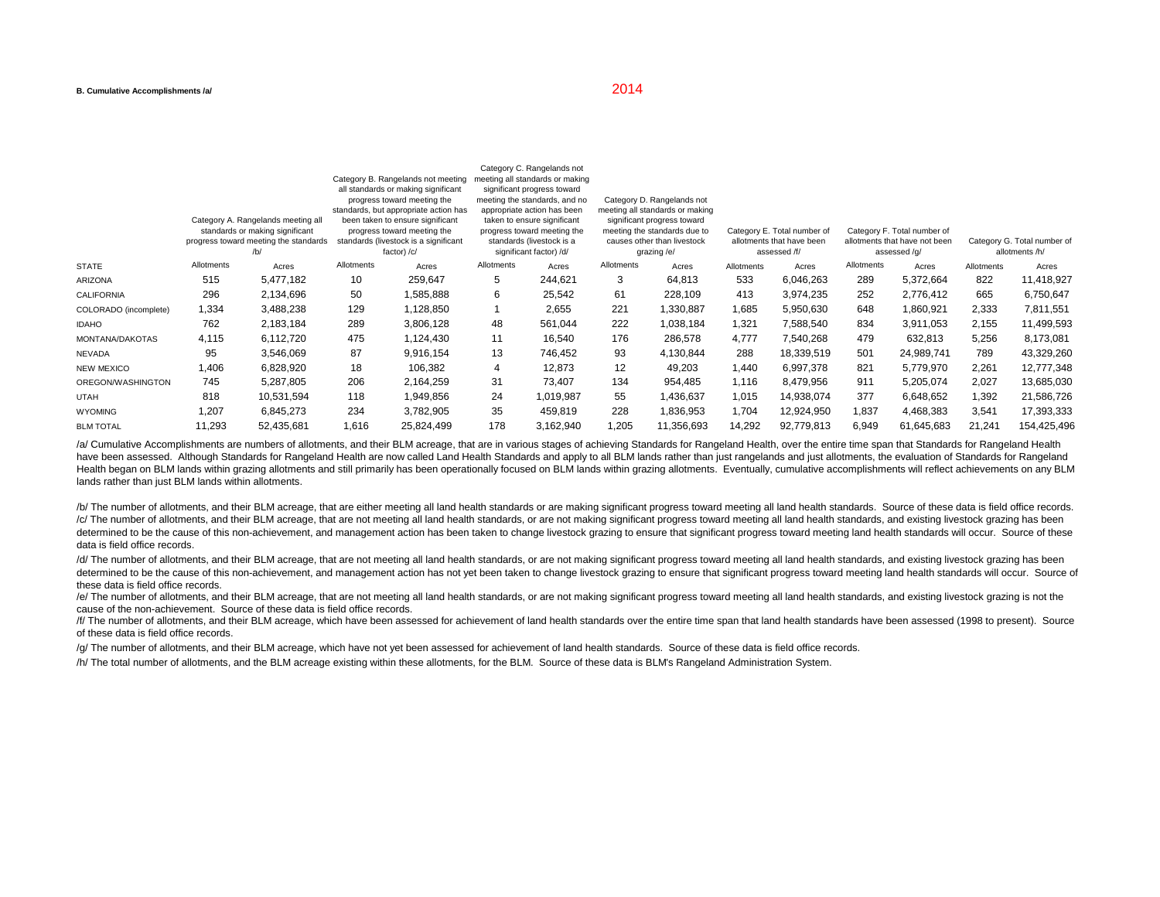|                       |                                                                                                                       |            |                                                                                                                         |                                     |                                                                                                                    | Category C. Rangelands not |                                                                                                          |            |                                                                          |            |                                                                              |            |                                               |             |
|-----------------------|-----------------------------------------------------------------------------------------------------------------------|------------|-------------------------------------------------------------------------------------------------------------------------|-------------------------------------|--------------------------------------------------------------------------------------------------------------------|----------------------------|----------------------------------------------------------------------------------------------------------|------------|--------------------------------------------------------------------------|------------|------------------------------------------------------------------------------|------------|-----------------------------------------------|-------------|
|                       |                                                                                                                       |            |                                                                                                                         | Category B. Rangelands not meeting  | meeting all standards or making                                                                                    |                            |                                                                                                          |            |                                                                          |            |                                                                              |            |                                               |             |
|                       |                                                                                                                       |            |                                                                                                                         | all standards or making significant | significant progress toward                                                                                        |                            |                                                                                                          |            |                                                                          |            |                                                                              |            |                                               |             |
|                       | progress toward meeting the<br>standards, but appropriate action has                                                  |            |                                                                                                                         |                                     | meeting the standards, and no<br>appropriate action has been                                                       |                            | Category D. Rangelands not<br>meeting all standards or making                                            |            |                                                                          |            |                                                                              |            |                                               |             |
|                       | Category A. Rangelands meeting all<br>standards or making significant<br>progress toward meeting the standards<br>/b/ |            | been taken to ensure significant<br>progress toward meeting the<br>standards (livestock is a significant<br>factor) /c/ |                                     | taken to ensure significant<br>progress toward meeting the<br>standards (livestock is a<br>significant factor) /d/ |                            | significant progress toward<br>meeting the standards due to<br>causes other than livestock<br>grazing/e/ |            |                                                                          |            |                                                                              |            |                                               |             |
|                       |                                                                                                                       |            |                                                                                                                         |                                     |                                                                                                                    |                            |                                                                                                          |            | Category E. Total number of<br>allotments that have been<br>assessed /f/ |            | Category F. Total number of<br>allotments that have not been<br>assessed /q/ |            |                                               |             |
|                       |                                                                                                                       |            |                                                                                                                         |                                     |                                                                                                                    |                            |                                                                                                          |            |                                                                          |            |                                                                              |            | Category G. Total number of<br>allotments /h/ |             |
| <b>STATE</b>          | Allotments                                                                                                            | Acres      | Allotments                                                                                                              | Acres                               | Allotments                                                                                                         | Acres                      | Allotments                                                                                               | Acres      | Allotments                                                               | Acres      | Allotments                                                                   | Acres      | Allotments                                    | Acres       |
| ARIZONA               | 515                                                                                                                   | 5,477,182  | 10                                                                                                                      | 259,647                             | 5                                                                                                                  | 244,621                    | 3                                                                                                        | 64,813     | 533                                                                      | 6,046,263  | 289                                                                          | 5,372,664  | 822                                           | 11,418,927  |
| <b>CALIFORNIA</b>     | 296                                                                                                                   | 2,134,696  | 50                                                                                                                      | 1,585,888                           | 6                                                                                                                  | 25,542                     | 61                                                                                                       | 228,109    | 413                                                                      | 3,974,235  | 252                                                                          | 2,776,412  | 665                                           | 6,750,647   |
| COLORADO (incomplete) | 1,334                                                                                                                 | 3,488,238  | 129                                                                                                                     | 1,128,850                           |                                                                                                                    | 2,655                      | 221                                                                                                      | 1,330,887  | 1,685                                                                    | 5,950,630  | 648                                                                          | 1,860,921  | 2,333                                         | 7,811,551   |
| <b>IDAHO</b>          | 762                                                                                                                   | 2,183,184  | 289                                                                                                                     | 3,806,128                           | 48                                                                                                                 | 561,044                    | 222                                                                                                      | 1,038,184  | 1,321                                                                    | 7,588,540  | 834                                                                          | 3,911,053  | 2,155                                         | 11,499,593  |
| MONTANA/DAKOTAS       | 4,115                                                                                                                 | 6,112,720  | 475                                                                                                                     | 1,124,430                           | 11                                                                                                                 | 16,540                     | 176                                                                                                      | 286,578    | 4,777                                                                    | 7,540,268  | 479                                                                          | 632,813    | 5,256                                         | 8,173,081   |
| <b>NEVADA</b>         | 95                                                                                                                    | 3,546,069  | 87                                                                                                                      | 9,916,154                           | 13                                                                                                                 | 746,452                    | 93                                                                                                       | 4,130,844  | 288                                                                      | 18,339,519 | 501                                                                          | 24,989,741 | 789                                           | 43,329,260  |
| <b>NEW MEXICO</b>     | 1,406                                                                                                                 | 6,828,920  | 18                                                                                                                      | 106,382                             | $\overline{4}$                                                                                                     | 12,873                     | 12                                                                                                       | 49,203     | 1,440                                                                    | 6,997,378  | 821                                                                          | 5,779,970  | 2,261                                         | 12,777,348  |
| OREGON/WASHINGTON     | 745                                                                                                                   | 5,287,805  | 206                                                                                                                     | 2,164,259                           | 31                                                                                                                 | 73.407                     | 134                                                                                                      | 954,485    | 1,116                                                                    | 8,479,956  | 911                                                                          | 5,205,074  | 2,027                                         | 13,685,030  |
| <b>UTAH</b>           | 818                                                                                                                   | 10,531,594 | 118                                                                                                                     | 1,949,856                           | 24                                                                                                                 | 1,019,987                  | 55                                                                                                       | 1,436,637  | 1,015                                                                    | 14,938,074 | 377                                                                          | 6,648,652  | 1,392                                         | 21,586,726  |
| <b>WYOMING</b>        | 1,207                                                                                                                 | 6,845,273  | 234                                                                                                                     | 3,782,905                           | 35                                                                                                                 | 459,819                    | 228                                                                                                      | 1,836,953  | 1,704                                                                    | 12,924,950 | 1,837                                                                        | 4,468,383  | 3,541                                         | 17,393,333  |
| <b>BLM TOTAL</b>      | 11,293                                                                                                                | 52,435,681 | 1,616                                                                                                                   | 25,824,499                          | 178                                                                                                                | 3,162,940                  | 1,205                                                                                                    | 11,356,693 | 14,292                                                                   | 92,779,813 | 6,949                                                                        | 61,645,683 | 21,241                                        | 154,425,496 |

/a/ Cumulative Accomplishments are numbers of allotments, and their BLM acreage, that are in various stages of achieving Standards for Rangeland Health, over the entire time span that Standards for Rangeland Health have been assessed. Although Standards for Rangeland Health are now called Land Health Standards and apply to all BLM lands rather than just rangelands and just allotments, the evaluation of Standards for Rangeland Health began on BLM lands within grazing allotments and still primarily has been operationally focused on BLM lands within grazing allotments. Eventually, cumulative accomplishments will reflect achievements on any BLM lands rather than just BLM lands within allotments.

/b/ The number of allotments, and their BLM acreage, that are either meeting all land health standards or are making significant progress toward meeting all land health standards. Source of these data is field office recor /c/ The number of allotments, and their BLM acreage, that are not meeting all land health standards, or are not making significant progress toward meeting all land health standards, and existing livestock grazing has been determined to be the cause of this non-achievement, and management action has been taken to change livestock grazing to ensure that significant progress toward meeting land health standards will occur. Source of these data is field office records.

/d/ The number of allotments, and their BLM acreage, that are not meeting all land health standards, or are not making significant progress toward meeting all land health standards, and existing livestock grazing has been determined to be the cause of this non-achievement, and management action has not yet been taken to change livestock grazing to ensure that significant progress toward meeting land health standards will occur. Source of these data is field office records.

/e/ The number of allotments, and their BLM acreage, that are not meeting all land health standards, or are not making significant progress toward meeting all land health standards, and existing livestock grazing is not th cause of the non-achievement. Source of these data is field office records.

/f/ The number of allotments, and their BLM acreage, which have been assessed for achievement of land health standards over the entire time span that land health standards have been assessed (1998 to present). Source of these data is field office records.

/g/ The number of allotments, and their BLM acreage, which have not yet been assessed for achievement of land health standards. Source of these data is field office records.

/h/ The total number of allotments, and the BLM acreage existing within these allotments, for the BLM. Source of these data is BLM's Rangeland Administration System.